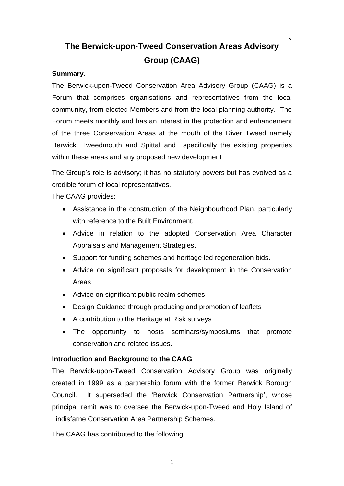# **The Berwick-upon-Tweed Conservation Areas Advisory Group (CAAG)**

#### **Summary.**

The Berwick-upon-Tweed Conservation Area Advisory Group (CAAG) is a Forum that comprises organisations and representatives from the local community, from elected Members and from the local planning authority. The Forum meets monthly and has an interest in the protection and enhancement of the three Conservation Areas at the mouth of the River Tweed namely Berwick, Tweedmouth and Spittal and specifically the existing properties within these areas and any proposed new development

The Group's role is advisory; it has no statutory powers but has evolved as a credible forum of local representatives.

The CAAG provides:

- Assistance in the construction of the Neighbourhood Plan, particularly with reference to the Built Environment.
- Advice in relation to the adopted Conservation Area Character Appraisals and Management Strategies.
- Support for funding schemes and heritage led regeneration bids.
- Advice on significant proposals for development in the Conservation Areas
- Advice on significant public realm schemes
- Design Guidance through producing and promotion of leaflets
- A contribution to the Heritage at Risk surveys
- The opportunity to hosts seminars/symposiums that promote conservation and related issues.

#### **Introduction and Background to the CAAG**

The Berwick-upon-Tweed Conservation Advisory Group was originally created in 1999 as a partnership forum with the former Berwick Borough Council. It superseded the 'Berwick Conservation Partnership', whose principal remit was to oversee the Berwick-upon-Tweed and Holy Island of Lindisfarne Conservation Area Partnership Schemes.

The CAAG has contributed to the following: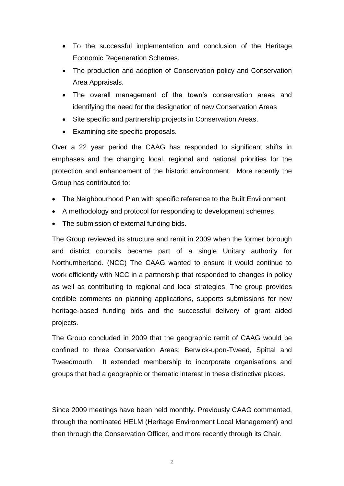- To the successful implementation and conclusion of the Heritage Economic Regeneration Schemes.
- The production and adoption of Conservation policy and Conservation Area Appraisals.
- The overall management of the town's conservation areas and identifying the need for the designation of new Conservation Areas
- Site specific and partnership projects in Conservation Areas.
- Examining site specific proposals.

Over a 22 year period the CAAG has responded to significant shifts in emphases and the changing local, regional and national priorities for the protection and enhancement of the historic environment. More recently the Group has contributed to:

- The Neighbourhood Plan with specific reference to the Built Environment
- A methodology and protocol for responding to development schemes.
- The submission of external funding bids.

The Group reviewed its structure and remit in 2009 when the former borough and district councils became part of a single Unitary authority for Northumberland. (NCC) The CAAG wanted to ensure it would continue to work efficiently with NCC in a partnership that responded to changes in policy as well as contributing to regional and local strategies. The group provides credible comments on planning applications, supports submissions for new heritage-based funding bids and the successful delivery of grant aided projects.

The Group concluded in 2009 that the geographic remit of CAAG would be confined to three Conservation Areas; Berwick-upon-Tweed, Spittal and Tweedmouth. It extended membership to incorporate organisations and groups that had a geographic or thematic interest in these distinctive places.

Since 2009 meetings have been held monthly. Previously CAAG commented, through the nominated HELM (Heritage Environment Local Management) and then through the Conservation Officer, and more recently through its Chair.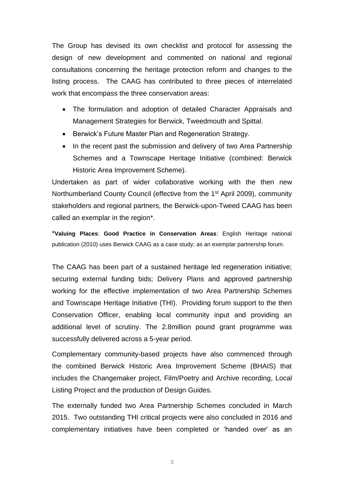The Group has devised its own checklist and protocol for assessing the design of new development and commented on national and regional consultations concerning the heritage protection reform and changes to the listing process. The CAAG has contributed to three pieces of interrelated work that encompass the three conservation areas:

- The formulation and adoption of detailed Character Appraisals and Management Strategies for Berwick, Tweedmouth and Spittal.
- Berwick's Future Master Plan and Regeneration Strategy.
- In the recent past the submission and delivery of two Area Partnership Schemes and a Townscape Heritage Initiative (combined: Berwick Historic Area Improvement Scheme).

Undertaken as part of wider collaborative working with the then new Northumberland County Council (effective from the 1st April 2009), community stakeholders and regional partners, the Berwick-upon-Tweed CAAG has been called an exemplar in the region\*.

\***Valuing Places**: **Good Practice in Conservation Areas**: English Heritage national publication (2010) uses Berwick CAAG as a case study; as an exemplar partnership forum.

The CAAG has been part of a sustained heritage led regeneration initiative; securing external funding bids; Delivery Plans and approved partnership working for the effective implementation of two Area Partnership Schemes and Townscape Heritage Initiative (THI). Providing forum support to the then Conservation Officer, enabling local community input and providing an additional level of scrutiny. The 2.8million pound grant programme was successfully delivered across a 5-year period.

Complementary community-based projects have also commenced through the combined Berwick Historic Area Improvement Scheme (BHAIS) that includes the Changemaker project, Film/Poetry and Archive recording, Local Listing Project and the production of Design Guides.

The externally funded two Area Partnership Schemes concluded in March 2015. Two outstanding THI critical projects were also concluded in 2016 and complementary initiatives have been completed or 'handed over' as an

3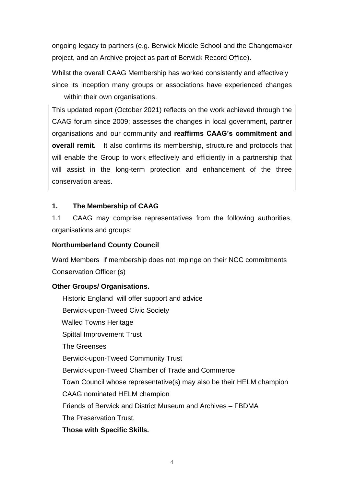ongoing legacy to partners (e.g. Berwick Middle School and the Changemaker project, and an Archive project as part of Berwick Record Office).

Whilst the overall CAAG Membership has worked consistently and effectively since its inception many groups or associations have experienced changes within their own organisations.

This updated report (October 2021) reflects on the work achieved through the CAAG forum since 2009; assesses the changes in local government, partner organisations and our community and **reaffirms CAAG's commitment and overall remit.** It also confirms its membership, structure and protocols that will enable the Group to work effectively and efficiently in a partnership that will assist in the long-term protection and enhancement of the three conservation areas.

### **1. The Membership of CAAG**

1.1 CAAG may comprise representatives from the following authorities, organisations and groups:

#### **Northumberland County Council**

Ward Members if membership does not impinge on their NCC commitments Con**s**ervation Officer (s)

#### **Other Groups/ Organisations.**

Historic England will offer support and advice Berwick-upon-Tweed Civic Society Walled Towns Heritage Spittal Improvement Trust The Greenses Berwick-upon-Tweed Community Trust Berwick-upon-Tweed Chamber of Trade and Commerce Town Council whose representative(s) may also be their HELM champion CAAG nominated HELM champion Friends of Berwick and District Museum and Archives – FBDMA The Preservation Trust. **Those with Specific Skills.**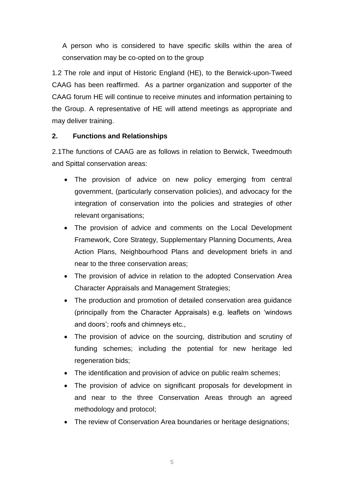A person who is considered to have specific skills within the area of conservation may be co-opted on to the group

1.2 The role and input of Historic England (HE), to the Berwick-upon-Tweed CAAG has been reaffirmed. As a partner organization and supporter of the CAAG forum HE will continue to receive minutes and information pertaining to the Group. A representative of HE will attend meetings as appropriate and may deliver training.

#### **2. Functions and Relationships**

2.1The functions of CAAG are as follows in relation to Berwick, Tweedmouth and Spittal conservation areas:

- The provision of advice on new policy emerging from central government, (particularly conservation policies), and advocacy for the integration of conservation into the policies and strategies of other relevant organisations;
- The provision of advice and comments on the Local Development Framework, Core Strategy, Supplementary Planning Documents, Area Action Plans, Neighbourhood Plans and development briefs in and near to the three conservation areas;
- The provision of advice in relation to the adopted Conservation Area Character Appraisals and Management Strategies;
- The production and promotion of detailed conservation area guidance (principally from the Character Appraisals) e.g. leaflets on 'windows and doors'; roofs and chimneys etc.,
- The provision of advice on the sourcing, distribution and scrutiny of funding schemes; including the potential for new heritage led regeneration bids;
- The identification and provision of advice on public realm schemes;
- The provision of advice on significant proposals for development in and near to the three Conservation Areas through an agreed methodology and protocol;
- The review of Conservation Area boundaries or heritage designations;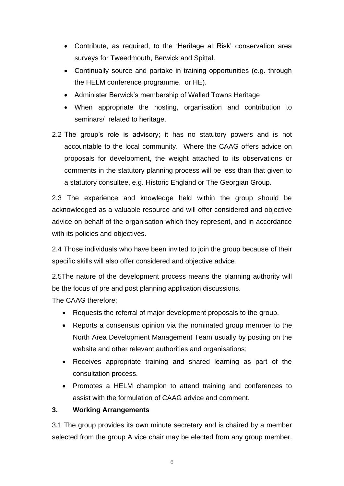- Contribute, as required, to the 'Heritage at Risk' conservation area surveys for Tweedmouth, Berwick and Spittal.
- Continually source and partake in training opportunities (e.g. through the HELM conference programme, or HE).
- Administer Berwick's membership of Walled Towns Heritage
- When appropriate the hosting, organisation and contribution to seminars/ related to heritage.
- 2.2 The group's role is advisory; it has no statutory powers and is not accountable to the local community. Where the CAAG offers advice on proposals for development, the weight attached to its observations or comments in the statutory planning process will be less than that given to a statutory consultee, e.g. Historic England or The Georgian Group.

2.3 The experience and knowledge held within the group should be acknowledged as a valuable resource and will offer considered and objective advice on behalf of the organisation which they represent, and in accordance with its policies and objectives.

2.4 Those individuals who have been invited to join the group because of their specific skills will also offer considered and objective advice

2.5The nature of the development process means the planning authority will be the focus of pre and post planning application discussions.

The CAAG therefore;

- Requests the referral of major development proposals to the group.
- Reports a consensus opinion via the nominated group member to the North Area Development Management Team usually by posting on the website and other relevant authorities and organisations;
- Receives appropriate training and shared learning as part of the consultation process.
- Promotes a HELM champion to attend training and conferences to assist with the formulation of CAAG advice and comment.

#### **3. Working Arrangements**

3.1 The group provides its own minute secretary and is chaired by a member selected from the group A vice chair may be elected from any group member.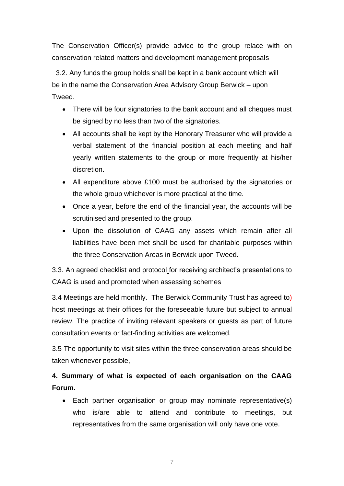The Conservation Officer(s) provide advice to the group relace with on conservation related matters and development management proposals

 3.2. Any funds the group holds shall be kept in a bank account which will be in the name the Conservation Area Advisory Group Berwick – upon Tweed.

- There will be four signatories to the bank account and all cheques must be signed by no less than two of the signatories.
- All accounts shall be kept by the Honorary Treasurer who will provide a verbal statement of the financial position at each meeting and half yearly written statements to the group or more frequently at his/her discretion.
- All expenditure above £100 must be authorised by the signatories or the whole group whichever is more practical at the time.
- Once a year, before the end of the financial year, the accounts will be scrutinised and presented to the group.
- Upon the dissolution of CAAG any assets which remain after all liabilities have been met shall be used for charitable purposes within the three Conservation Areas in Berwick upon Tweed.

3.3. An agreed checklist and protocol for receiving architect's presentations to CAAG is used and promoted when assessing schemes

3.4 Meetings are held monthly. The Berwick Community Trust has agreed to) host meetings at their offices for the foreseeable future but subject to annual review. The practice of inviting relevant speakers or guests as part of future consultation events or fact-finding activities are welcomed.

3.5 The opportunity to visit sites within the three conservation areas should be taken whenever possible,

## **4. Summary of what is expected of each organisation on the CAAG Forum.**

• Each partner organisation or group may nominate representative(s) who is/are able to attend and contribute to meetings, but representatives from the same organisation will only have one vote.